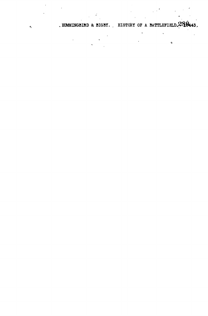. HUMMINGBIRD & BIGBY. . HISTORY OF A BATTLEFIELD.  $280443$ .

 $\ddot{\phantom{0}}$ 

 $\bullet$ 

 $\label{eq:2.1} \frac{1}{2} \int_{\mathbb{R}^3} \frac{1}{\sqrt{2}} \, \frac{1}{\sqrt{2}} \, \frac{1}{\sqrt{2}} \, \frac{1}{\sqrt{2}} \, \frac{1}{\sqrt{2}} \, \frac{1}{\sqrt{2}} \, \frac{1}{\sqrt{2}} \, \frac{1}{\sqrt{2}} \, \frac{1}{\sqrt{2}} \, \frac{1}{\sqrt{2}} \, \frac{1}{\sqrt{2}} \, \frac{1}{\sqrt{2}} \, \frac{1}{\sqrt{2}} \, \frac{1}{\sqrt{2}} \, \frac{1}{\sqrt{2}} \, \frac{1}{\sqrt{2}} \,$ 

 $\mathbf{A}$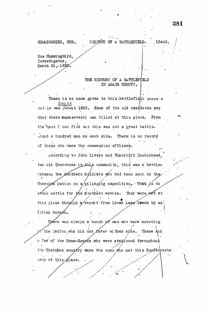## HUMMINGBIRD, GUS.

## HISTORY OF A BATTLEFIELD.

Gus Hummingbird, Investigator, March 21, 1938.

## THE HISTORY OF A BATTLEFIELD IN ADAIR COUNTY.

There is no name given to this battlefield where a fought battle was *About* 1863. Some of the old residents say that there were several men killed at this place. From the best I can find out this was not a great battle. about a hundred men on each side. There is no record of those who were the commanding officers.

according to John Livers and Blackbird Doublehead, two old Cherokees in this community, this was a battle. between the Southern Scidiers who had been sent to the Cherokee Nation on a/pillaging expedition. That is to steal cattle for the Southern Armies. They were met at this place through a report from lower Lees Creek by an Indian runner.

There was always a bunch of men who were scouting  $\gamma$  the Mation, who did not favor either syde. These and a few of the Home-Guards who were stationed throughout the Cherokee country were the ones who met this Confederate Army at this place.

13443.